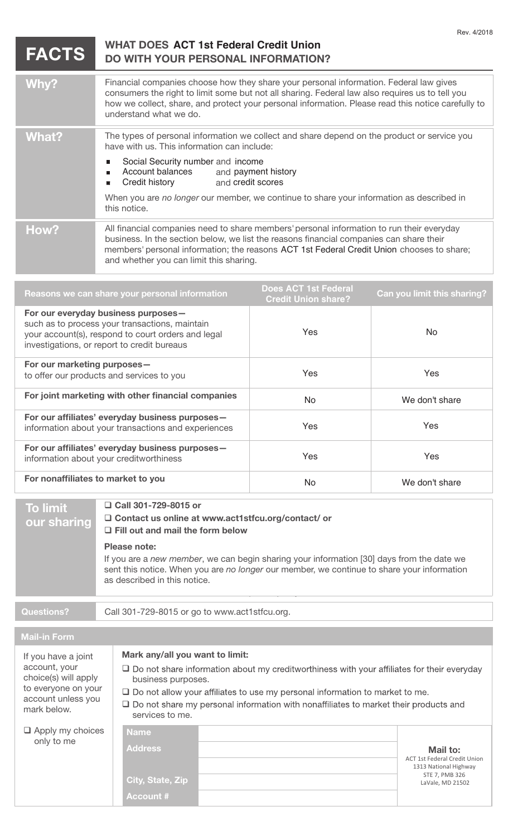| <b>FACTS</b>                                                                                                                                                                                                                                                                                                                                                                                                                                                                                             | <b>WHAT DOES ACT 1st Federal Credit Union</b><br><b>DO WITH YOUR PERSONAL INFORMATION?</b>                                                                                                                                                                                                                                                                                                                  |                                                           | Rev. 4/2018                                                                                                    |
|----------------------------------------------------------------------------------------------------------------------------------------------------------------------------------------------------------------------------------------------------------------------------------------------------------------------------------------------------------------------------------------------------------------------------------------------------------------------------------------------------------|-------------------------------------------------------------------------------------------------------------------------------------------------------------------------------------------------------------------------------------------------------------------------------------------------------------------------------------------------------------------------------------------------------------|-----------------------------------------------------------|----------------------------------------------------------------------------------------------------------------|
| Why?                                                                                                                                                                                                                                                                                                                                                                                                                                                                                                     | Financial companies choose how they share your personal information. Federal law gives<br>consumers the right to limit some but not all sharing. Federal law also requires us to tell you<br>how we collect, share, and protect your personal information. Please read this notice carefully to<br>understand what we do.                                                                                   |                                                           |                                                                                                                |
| <b>What?</b>                                                                                                                                                                                                                                                                                                                                                                                                                                                                                             | The types of personal information we collect and share depend on the product or service you<br>have with us. This information can include:<br>Social Security number and income<br><b>Account balances</b><br>and payment history<br>п<br>Credit history<br>and credit scores<br>$\blacksquare$<br>When you are no longer our member, we continue to share your information as described in<br>this notice. |                                                           |                                                                                                                |
| How?                                                                                                                                                                                                                                                                                                                                                                                                                                                                                                     | All financial companies need to share members' personal information to run their everyday<br>business. In the section below, we list the reasons financial companies can share their<br>members' personal information; the reasons ACT 1st Federal Credit Union chooses to share;<br>and whether you can limit this sharing.                                                                                |                                                           |                                                                                                                |
|                                                                                                                                                                                                                                                                                                                                                                                                                                                                                                          | Reasons we can share your personal information                                                                                                                                                                                                                                                                                                                                                              | <b>Does ACT 1st Federal</b><br><b>Credit Union share?</b> | Can you limit this sharing?                                                                                    |
| For our everyday business purposes-<br>such as to process your transactions, maintain<br>your account(s), respond to court orders and legal<br>investigations, or report to credit bureaus                                                                                                                                                                                                                                                                                                               |                                                                                                                                                                                                                                                                                                                                                                                                             | Yes                                                       | No                                                                                                             |
| For our marketing purposes-<br>to offer our products and services to you                                                                                                                                                                                                                                                                                                                                                                                                                                 |                                                                                                                                                                                                                                                                                                                                                                                                             | Yes                                                       | Yes                                                                                                            |
| For joint marketing with other financial companies                                                                                                                                                                                                                                                                                                                                                                                                                                                       |                                                                                                                                                                                                                                                                                                                                                                                                             | <b>No</b>                                                 | We don't share                                                                                                 |
| For our affiliates' everyday business purposes-<br>information about your transactions and experiences                                                                                                                                                                                                                                                                                                                                                                                                   |                                                                                                                                                                                                                                                                                                                                                                                                             | Yes                                                       | Yes                                                                                                            |
| For our affiliates' everyday business purposes-<br>information about your creditworthiness                                                                                                                                                                                                                                                                                                                                                                                                               |                                                                                                                                                                                                                                                                                                                                                                                                             | Yes                                                       | Yes                                                                                                            |
| For nonaffiliates to market to you                                                                                                                                                                                                                                                                                                                                                                                                                                                                       |                                                                                                                                                                                                                                                                                                                                                                                                             | <b>No</b>                                                 | We don't share                                                                                                 |
| <b>To limit</b><br>our sharing                                                                                                                                                                                                                                                                                                                                                                                                                                                                           | □ Call 301-729-8015 or<br>□ Contact us online at www.act1stfcu.org/contact/ or<br>$\Box$ Fill out and mail the form below<br><b>Please note:</b><br>If you are a new member, we can begin sharing your information [30] days from the date we<br>sent this notice. When you are no longer our member, we continue to share your information<br>as described in this notice.                                 |                                                           |                                                                                                                |
| <b>Questions?</b>                                                                                                                                                                                                                                                                                                                                                                                                                                                                                        | Call 301-729-8015 or go to www.act1stfcu.org.                                                                                                                                                                                                                                                                                                                                                               |                                                           |                                                                                                                |
| <b>Mail-in Form</b>                                                                                                                                                                                                                                                                                                                                                                                                                                                                                      |                                                                                                                                                                                                                                                                                                                                                                                                             |                                                           |                                                                                                                |
| Mark any/all you want to limit:<br>If you have a joint<br>account, your<br>$\square$ Do not share information about my creditworthiness with your affiliates for their everyday<br>choice(s) will apply<br>business purposes.<br>to everyone on your<br>$\square$ Do not allow your affiliates to use my personal information to market to me.<br>account unless you<br>$\square$ Do not share my personal information with nonaffiliates to market their products and<br>mark below.<br>services to me. |                                                                                                                                                                                                                                                                                                                                                                                                             |                                                           |                                                                                                                |
| $\Box$ Apply my choices<br>only to me                                                                                                                                                                                                                                                                                                                                                                                                                                                                    | <b>Name</b><br><b>Address</b><br>City, State, Zip<br><b>Account #</b>                                                                                                                                                                                                                                                                                                                                       |                                                           | Mail to:<br><b>ACT 1st Federal Credit Union</b><br>1313 National Highway<br>STE 7, PMB 326<br>LaVale, MD 21502 |